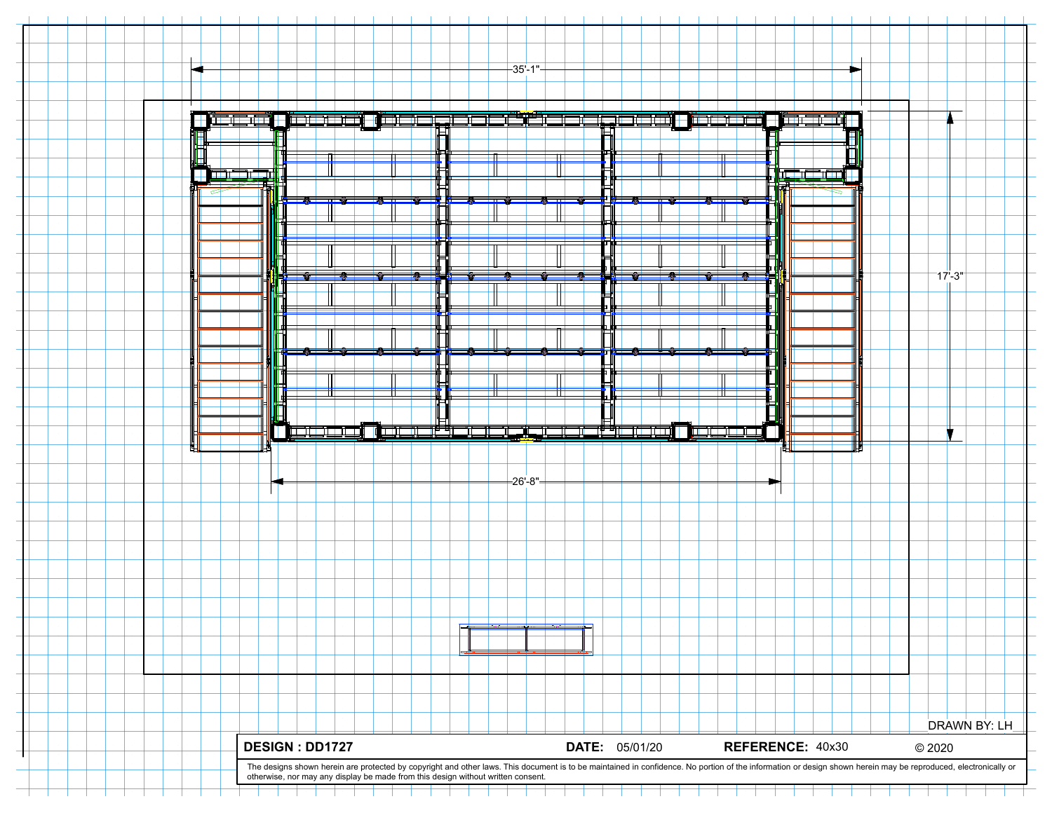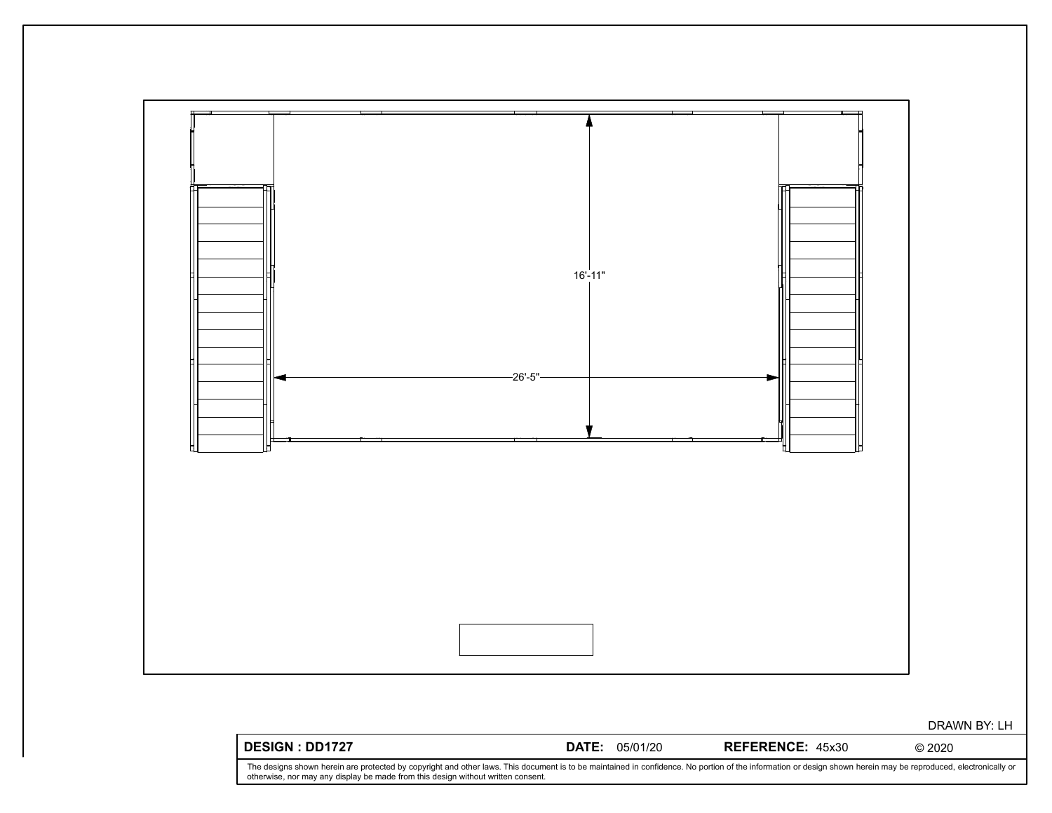

The designs shown herein are protected by copyright and other laws. This document is to be maintained in confidence. No portion of the information or design shown herein may be reproduced, electronically or<br>otherwise, nor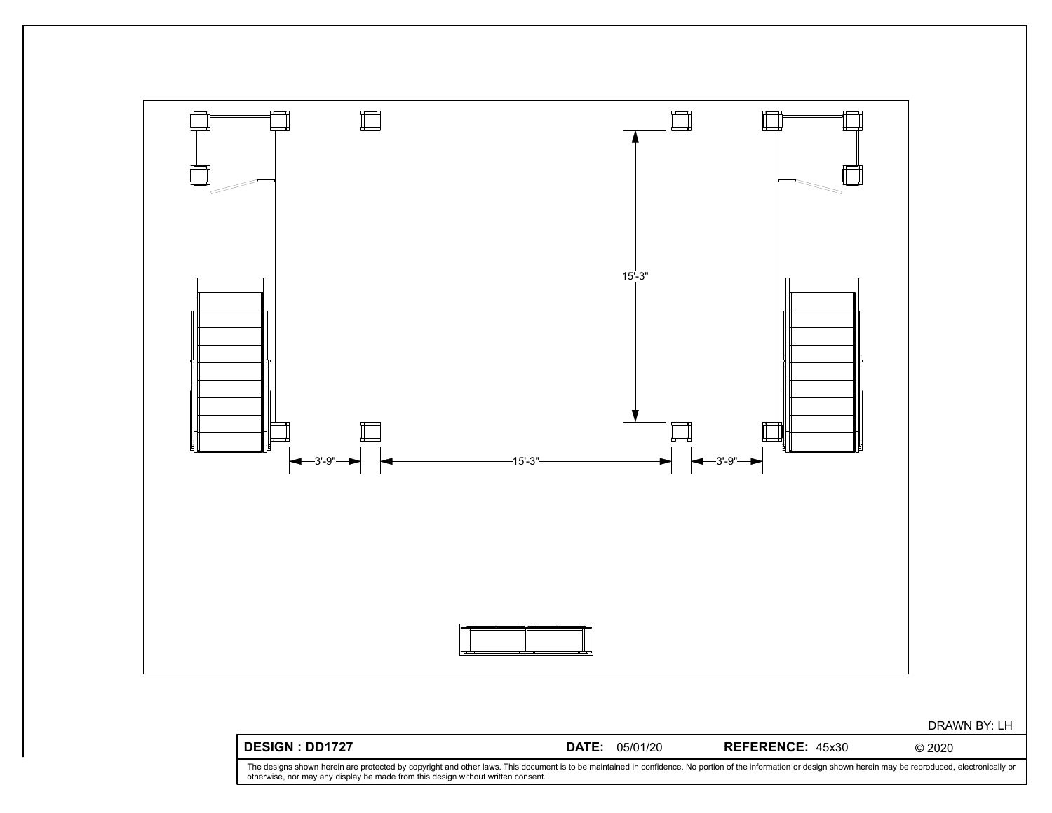

The designs shown herein are protected by copyright and other laws. This document is to be maintained in confidence. No portion of the information or design shown herein may be reproduced, electronically or<br>otherwise, nor